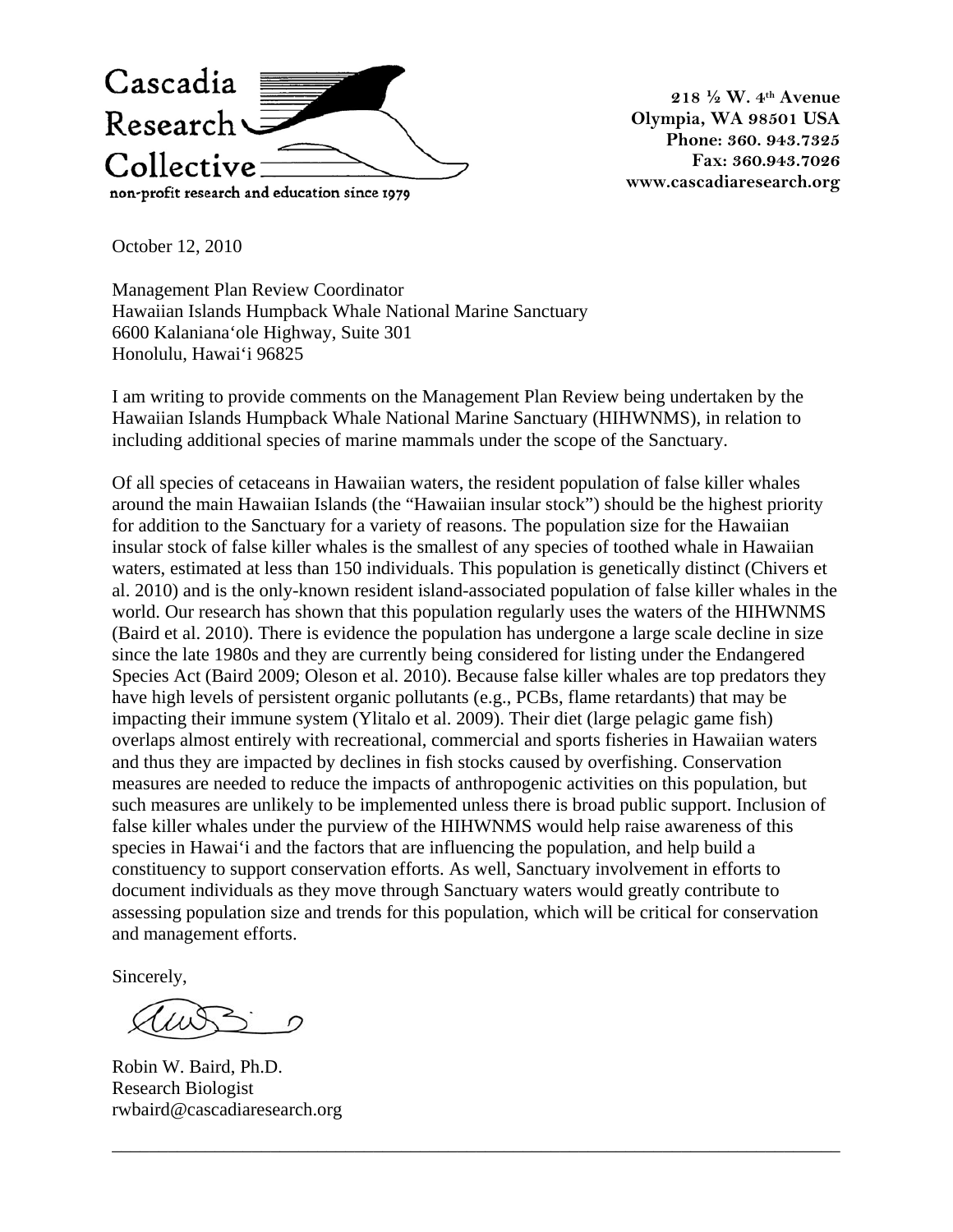

**218 ½ W. 4th Avenue Olympia, WA 98501 USA Phone: 360. 943.7325 Fax: 360.943.7026 www.cascadiaresearch.org** 

October 12, 2010

Management Plan Review Coordinator Hawaiian Islands Humpback Whale National Marine Sanctuary 6600 Kalaniana'ole Highway, Suite 301 Honolulu, Hawai'i 96825

I am writing to provide comments on the Management Plan Review being undertaken by the Hawaiian Islands Humpback Whale National Marine Sanctuary (HIHWNMS), in relation to including additional species of marine mammals under the scope of the Sanctuary.

Of all species of cetaceans in Hawaiian waters, the resident population of false killer whales around the main Hawaiian Islands (the "Hawaiian insular stock") should be the highest priority for addition to the Sanctuary for a variety of reasons. The population size for the Hawaiian insular stock of false killer whales is the smallest of any species of toothed whale in Hawaiian waters, estimated at less than 150 individuals. This population is genetically distinct (Chivers et al. 2010) and is the only-known resident island-associated population of false killer whales in the world. Our research has shown that this population regularly uses the waters of the HIHWNMS (Baird et al. 2010). There is evidence the population has undergone a large scale decline in size since the late 1980s and they are currently being considered for listing under the Endangered Species Act (Baird 2009; Oleson et al. 2010). Because false killer whales are top predators they have high levels of persistent organic pollutants (e.g., PCBs, flame retardants) that may be impacting their immune system (Ylitalo et al. 2009). Their diet (large pelagic game fish) overlaps almost entirely with recreational, commercial and sports fisheries in Hawaiian waters and thus they are impacted by declines in fish stocks caused by overfishing. Conservation measures are needed to reduce the impacts of anthropogenic activities on this population, but such measures are unlikely to be implemented unless there is broad public support. Inclusion of false killer whales under the purview of the HIHWNMS would help raise awareness of this species in Hawai'i and the factors that are influencing the population, and help build a constituency to support conservation efforts. As well, Sanctuary involvement in efforts to document individuals as they move through Sanctuary waters would greatly contribute to assessing population size and trends for this population, which will be critical for conservation and management efforts.

\_\_\_\_\_\_\_\_\_\_\_\_\_\_\_\_\_\_\_\_\_\_\_\_\_\_\_\_\_\_\_\_\_\_\_\_\_\_\_\_\_\_\_\_\_\_\_\_\_\_\_\_\_\_\_\_\_\_\_\_\_\_\_\_\_\_\_\_\_\_\_\_\_\_\_\_\_\_

Sincerely,

Robin W. Baird, Ph.D. Research Biologist rwbaird@cascadiaresearch.org